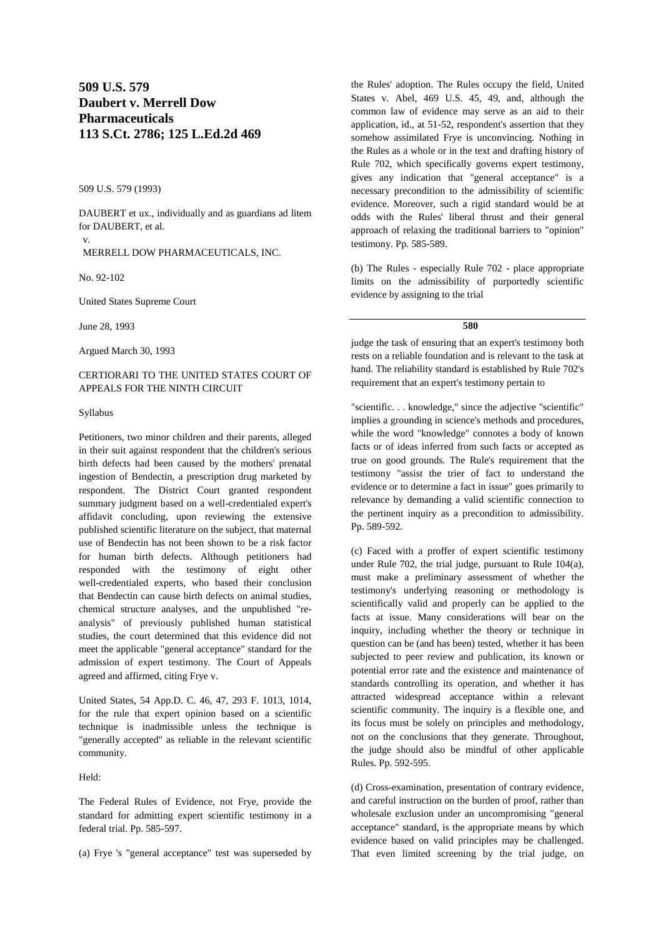**509 U.S. 579 Daubert v. Merrell Dow Pharmaceuticals 113 S.Ct. 2786; 125 L.Ed.2d 469**

509 U.S. 579 (1993)

DAUBERT et ux., individually and as guardians ad litem for DAUBERT, et al.

v.

MERRELL DOW PHARMACEUTICALS, INC.

No. 92-102

United States Supreme Court

June 28, 1993

Argued March 30, 1993

# CERTIORARI TO THE UNITED STATES COURT OF APPEALS FOR THE NINTH CIRCUIT

Syllabus

Petitioners, two minor children and their parents, alleged in their suit against respondent that the children's serious birth defects had been caused by the mothers' prenatal ingestion of Bendectin, a prescription drug marketed by respondent. The District Court granted respondent summary judgment based on a well-credentialed expert's affidavit concluding, upon reviewing the extensive published scientific literature on the subject, that maternal use of Bendectin has not been shown to be a risk factor for human birth defects. Although petitioners had responded with the testimony of eight other well-credentialed experts, who based their conclusion that Bendectin can cause birth defects on animal studies, chemical structure analyses, and the unpublished "reanalysis" of previously published human statistical studies, the court determined that this evidence did not meet the applicable "general acceptance" standard for the admission of expert testimony. The Court of Appeals agreed and affirmed, citing Frye v.

United States, 54 App.D. C. 46, 47, 293 F. 1013, 1014, for the rule that expert opinion based on a scientific technique is inadmissible unless the technique is "generally accepted" as reliable in the relevant scientific community.

Held:

The Federal Rules of Evidence, not Frye, provide the standard for admitting expert scientific testimony in a federal trial. Pp. 585-597.

(a) Frye 's "general acceptance" test was superseded by

the Rules' adoption. The Rules occupy the field, United States v. Abel, 469 U.S. 45, 49, and, although the common law of evidence may serve as an aid to their application, id., at 51-52, respondent's assertion that they somehow assimilated Frye is unconvincing. Nothing in the Rules as a whole or in the text and drafting history of Rule 702, which specifically governs expert testimony, gives any indication that "general acceptance" is a necessary precondition to the admissibility of scientific evidence. Moreover, such a rigid standard would be at odds with the Rules' liberal thrust and their general approach of relaxing the traditional barriers to "opinion" testimony. Pp. 585-589.

(b) The Rules - especially Rule 702 - place appropriate limits on the admissibility of purportedly scientific evidence by assigning to the trial

# **580**

judge the task of ensuring that an expert's testimony both rests on a reliable foundation and is relevant to the task at hand. The reliability standard is established by Rule 702's requirement that an expert's testimony pertain to

"scientific. . . knowledge," since the adjective "scientific" implies a grounding in science's methods and procedures, while the word "knowledge" connotes a body of known facts or of ideas inferred from such facts or accepted as true on good grounds. The Rule's requirement that the testimony "assist the trier of fact to understand the evidence or to determine a fact in issue" goes primarily to relevance by demanding a valid scientific connection to the pertinent inquiry as a precondition to admissibility. Pp. 589-592.

(c) Faced with a proffer of expert scientific testimony under Rule 702, the trial judge, pursuant to Rule 104(a), must make a preliminary assessment of whether the testimony's underlying reasoning or methodology is scientifically valid and properly can be applied to the facts at issue. Many considerations will bear on the inquiry, including whether the theory or technique in question can be (and has been) tested, whether it has been subjected to peer review and publication, its known or potential error rate and the existence and maintenance of standards controlling its operation, and whether it has attracted widespread acceptance within a relevant scientific community. The inquiry is a flexible one, and its focus must be solely on principles and methodology, not on the conclusions that they generate. Throughout, the judge should also be mindful of other applicable Rules. Pp. 592-595.

(d) Cross-examination, presentation of contrary evidence, and careful instruction on the burden of proof, rather than wholesale exclusion under an uncompromising "general acceptance" standard, is the appropriate means by which evidence based on valid principles may be challenged. That even limited screening by the trial judge, on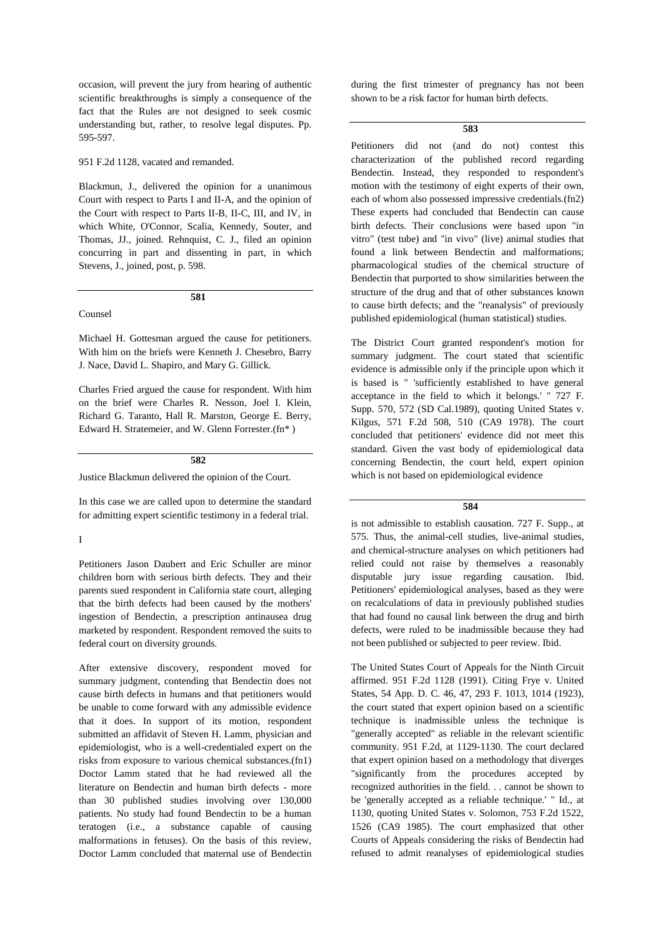occasion, will prevent the jury from hearing of authentic scientific breakthroughs is simply a consequence of the fact that the Rules are not designed to seek cosmic understanding but, rather, to resolve legal disputes. Pp. 595-597.

951 F.2d 1128, vacated and remanded.

Blackmun, J., delivered the opinion for a unanimous Court with respect to Parts I and II-A, and the opinion of the Court with respect to Parts II-B, II-C, III, and IV, in which White, O'Connor, Scalia, Kennedy, Souter, and Thomas, JJ., joined. Rehnquist, C. J., filed an opinion concurring in part and dissenting in part, in which Stevens, J., joined, post, p. 598.

# **581**

### Counsel

Michael H. Gottesman argued the cause for petitioners. With him on the briefs were Kenneth J. Chesebro, Barry J. Nace, David L. Shapiro, and Mary G. Gillick.

Charles Fried argued the cause for respondent. With him on the brief were Charles R. Nesson, Joel I. Klein, Richard G. Taranto, Hall R. Marston, George E. Berry, Edward H. Stratemeier, and W. Glenn Forrester.(fn\* )

#### **582**

Justice Blackmun delivered the opinion of the Court.

In this case we are called upon to determine the standard for admitting expert scientific testimony in a federal trial.

#### I

Petitioners Jason Daubert and Eric Schuller are minor children born with serious birth defects. They and their parents sued respondent in California state court, alleging that the birth defects had been caused by the mothers' ingestion of Bendectin, a prescription antinausea drug marketed by respondent. Respondent removed the suits to federal court on diversity grounds.

After extensive discovery, respondent moved for summary judgment, contending that Bendectin does not cause birth defects in humans and that petitioners would be unable to come forward with any admissible evidence that it does. In support of its motion, respondent submitted an affidavit of Steven H. Lamm, physician and epidemiologist, who is a well-credentialed expert on the risks from exposure to various chemical substances.(fn1) Doctor Lamm stated that he had reviewed all the literature on Bendectin and human birth defects - more than 30 published studies involving over 130,000 patients. No study had found Bendectin to be a human teratogen (i.e., a substance capable of causing malformations in fetuses). On the basis of this review, Doctor Lamm concluded that maternal use of Bendectin

during the first trimester of pregnancy has not been shown to be a risk factor for human birth defects.

**583** 

Petitioners did not (and do not) contest this characterization of the published record regarding Bendectin. Instead, they responded to respondent's motion with the testimony of eight experts of their own, each of whom also possessed impressive credentials.(fn2) These experts had concluded that Bendectin can cause birth defects. Their conclusions were based upon "in vitro" (test tube) and "in vivo" (live) animal studies that found a link between Bendectin and malformations; pharmacological studies of the chemical structure of Bendectin that purported to show similarities between the structure of the drug and that of other substances known to cause birth defects; and the "reanalysis" of previously published epidemiological (human statistical) studies.

The District Court granted respondent's motion for summary judgment. The court stated that scientific evidence is admissible only if the principle upon which it is based is " 'sufficiently established to have general acceptance in the field to which it belongs.' " 727 F. Supp. 570, 572 (SD Cal.1989), quoting United States v. Kilgus, 571 F.2d 508, 510 (CA9 1978). The court concluded that petitioners' evidence did not meet this standard. Given the vast body of epidemiological data concerning Bendectin, the court held, expert opinion which is not based on epidemiological evidence

# **584**

is not admissible to establish causation. 727 F. Supp., at 575. Thus, the animal-cell studies, live-animal studies, and chemical-structure analyses on which petitioners had relied could not raise by themselves a reasonably disputable jury issue regarding causation. Ibid. Petitioners' epidemiological analyses, based as they were on recalculations of data in previously published studies that had found no causal link between the drug and birth defects, were ruled to be inadmissible because they had not been published or subjected to peer review. Ibid.

The United States Court of Appeals for the Ninth Circuit affirmed. 951 F.2d 1128 (1991). Citing Frye v. United States, 54 App. D. C. 46, 47, 293 F. 1013, 1014 (1923), the court stated that expert opinion based on a scientific technique is inadmissible unless the technique is "generally accepted" as reliable in the relevant scientific community. 951 F.2d, at 1129-1130. The court declared that expert opinion based on a methodology that diverges "significantly from the procedures accepted by recognized authorities in the field. . . cannot be shown to be 'generally accepted as a reliable technique.' " Id., at 1130, quoting United States v. Solomon, 753 F.2d 1522, 1526 (CA9 1985). The court emphasized that other Courts of Appeals considering the risks of Bendectin had refused to admit reanalyses of epidemiological studies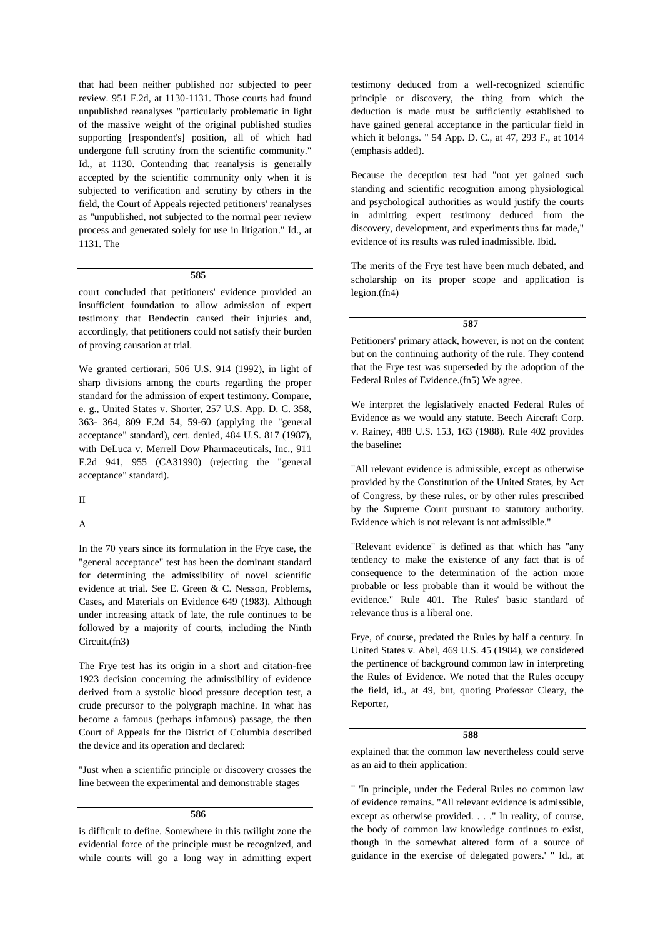that had been neither published nor subjected to peer review. 951 F.2d, at 1130-1131. Those courts had found unpublished reanalyses "particularly problematic in light of the massive weight of the original published studies supporting [respondent's] position, all of which had undergone full scrutiny from the scientific community." Id., at 1130. Contending that reanalysis is generally accepted by the scientific community only when it is subjected to verification and scrutiny by others in the field, the Court of Appeals rejected petitioners' reanalyses as "unpublished, not subjected to the normal peer review process and generated solely for use in litigation." Id., at 1131. The

# **585**

court concluded that petitioners' evidence provided an insufficient foundation to allow admission of expert testimony that Bendectin caused their injuries and, accordingly, that petitioners could not satisfy their burden of proving causation at trial.

We granted certiorari, 506 U.S. 914 (1992), in light of sharp divisions among the courts regarding the proper standard for the admission of expert testimony. Compare, e. g., United States v. Shorter, 257 U.S. App. D. C. 358, 363- 364, 809 F.2d 54, 59-60 (applying the "general acceptance" standard), cert. denied, 484 U.S. 817 (1987), with DeLuca v. Merrell Dow Pharmaceuticals, Inc., 911 F.2d 941, 955 (CA31990) (rejecting the "general acceptance" standard).

II

### A

In the 70 years since its formulation in the Frye case, the "general acceptance" test has been the dominant standard for determining the admissibility of novel scientific evidence at trial. See E. Green & C. Nesson, Problems, Cases, and Materials on Evidence 649 (1983). Although under increasing attack of late, the rule continues to be followed by a majority of courts, including the Ninth Circuit.(fn3)

The Frye test has its origin in a short and citation-free 1923 decision concerning the admissibility of evidence derived from a systolic blood pressure deception test, a crude precursor to the polygraph machine. In what has become a famous (perhaps infamous) passage, the then Court of Appeals for the District of Columbia described the device and its operation and declared:

"Just when a scientific principle or discovery crosses the line between the experimental and demonstrable stages

#### **586**

is difficult to define. Somewhere in this twilight zone the evidential force of the principle must be recognized, and while courts will go a long way in admitting expert testimony deduced from a well-recognized scientific principle or discovery, the thing from which the deduction is made must be sufficiently established to have gained general acceptance in the particular field in which it belongs. " 54 App. D. C., at 47, 293 F., at 1014 (emphasis added).

Because the deception test had "not yet gained such standing and scientific recognition among physiological and psychological authorities as would justify the courts in admitting expert testimony deduced from the discovery, development, and experiments thus far made," evidence of its results was ruled inadmissible. Ibid.

The merits of the Frye test have been much debated, and scholarship on its proper scope and application is legion.(fn4)

# **587**

Petitioners' primary attack, however, is not on the content but on the continuing authority of the rule. They contend that the Frye test was superseded by the adoption of the Federal Rules of Evidence.(fn5) We agree.

We interpret the legislatively enacted Federal Rules of Evidence as we would any statute. Beech Aircraft Corp. v. Rainey, 488 U.S. 153, 163 (1988). Rule 402 provides the baseline:

"All relevant evidence is admissible, except as otherwise provided by the Constitution of the United States, by Act of Congress, by these rules, or by other rules prescribed by the Supreme Court pursuant to statutory authority. Evidence which is not relevant is not admissible."

"Relevant evidence" is defined as that which has "any tendency to make the existence of any fact that is of consequence to the determination of the action more probable or less probable than it would be without the evidence." Rule 401. The Rules' basic standard of relevance thus is a liberal one.

Frye, of course, predated the Rules by half a century. In United States v. Abel, 469 U.S. 45 (1984), we considered the pertinence of background common law in interpreting the Rules of Evidence. We noted that the Rules occupy the field, id., at 49, but, quoting Professor Cleary, the Reporter,

## **588**

explained that the common law nevertheless could serve as an aid to their application:

" 'In principle, under the Federal Rules no common law of evidence remains. "All relevant evidence is admissible, except as otherwise provided. . . ." In reality, of course, the body of common law knowledge continues to exist, though in the somewhat altered form of a source of guidance in the exercise of delegated powers.' " Id., at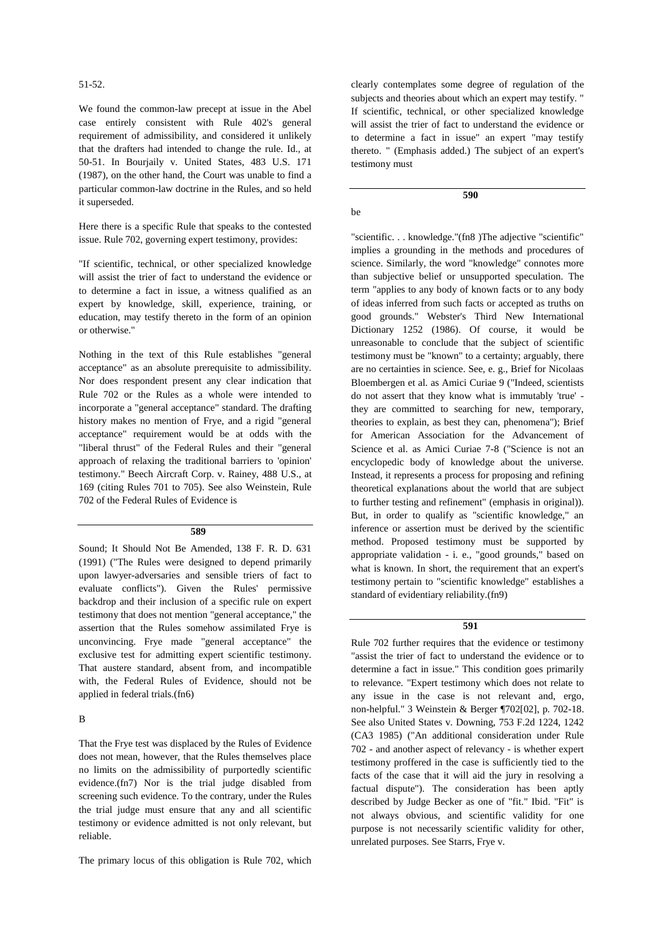# 51-52.

We found the common-law precept at issue in the Abel case entirely consistent with Rule 402's general requirement of admissibility, and considered it unlikely that the drafters had intended to change the rule. Id., at 50-51. In Bourjaily v. United States, 483 U.S. 171 (1987), on the other hand, the Court was unable to find a particular common-law doctrine in the Rules, and so held it superseded.

Here there is a specific Rule that speaks to the contested issue. Rule 702, governing expert testimony, provides:

"If scientific, technical, or other specialized knowledge will assist the trier of fact to understand the evidence or to determine a fact in issue, a witness qualified as an expert by knowledge, skill, experience, training, or education, may testify thereto in the form of an opinion or otherwise."

Nothing in the text of this Rule establishes "general acceptance" as an absolute prerequisite to admissibility. Nor does respondent present any clear indication that Rule 702 or the Rules as a whole were intended to incorporate a "general acceptance" standard. The drafting history makes no mention of Frye, and a rigid "general acceptance" requirement would be at odds with the "liberal thrust" of the Federal Rules and their "general approach of relaxing the traditional barriers to 'opinion' testimony." Beech Aircraft Corp. v. Rainey, 488 U.S., at 169 (citing Rules 701 to 705). See also Weinstein, Rule 702 of the Federal Rules of Evidence is

## **589**

Sound; It Should Not Be Amended, 138 F. R. D. 631 (1991) ("The Rules were designed to depend primarily upon lawyer-adversaries and sensible triers of fact to evaluate conflicts"). Given the Rules' permissive backdrop and their inclusion of a specific rule on expert testimony that does not mention "general acceptance," the assertion that the Rules somehow assimilated Frye is unconvincing. Frye made "general acceptance" the exclusive test for admitting expert scientific testimony. That austere standard, absent from, and incompatible with, the Federal Rules of Evidence, should not be applied in federal trials.(fn6)

# B

That the Frye test was displaced by the Rules of Evidence does not mean, however, that the Rules themselves place no limits on the admissibility of purportedly scientific evidence.(fn7) Nor is the trial judge disabled from screening such evidence. To the contrary, under the Rules the trial judge must ensure that any and all scientific testimony or evidence admitted is not only relevant, but reliable.

The primary locus of this obligation is Rule 702, which

clearly contemplates some degree of regulation of the subjects and theories about which an expert may testify. " If scientific, technical, or other specialized knowledge will assist the trier of fact to understand the evidence or to determine a fact in issue" an expert "may testify thereto. " (Emphasis added.) The subject of an expert's testimony must

**590** 

# be

"scientific. . . knowledge."(fn8 )The adjective "scientific" implies a grounding in the methods and procedures of science. Similarly, the word "knowledge" connotes more than subjective belief or unsupported speculation. The term "applies to any body of known facts or to any body of ideas inferred from such facts or accepted as truths on good grounds." Webster's Third New International Dictionary 1252 (1986). Of course, it would be unreasonable to conclude that the subject of scientific testimony must be "known" to a certainty; arguably, there are no certainties in science. See, e. g., Brief for Nicolaas Bloembergen et al. as Amici Curiae 9 ("Indeed, scientists do not assert that they know what is immutably 'true' they are committed to searching for new, temporary, theories to explain, as best they can, phenomena"); Brief for American Association for the Advancement of Science et al. as Amici Curiae 7-8 ("Science is not an encyclopedic body of knowledge about the universe. Instead, it represents a process for proposing and refining theoretical explanations about the world that are subject to further testing and refinement" (emphasis in original)). But, in order to qualify as "scientific knowledge," an inference or assertion must be derived by the scientific method. Proposed testimony must be supported by appropriate validation - i. e., "good grounds," based on what is known. In short, the requirement that an expert's testimony pertain to "scientific knowledge" establishes a standard of evidentiary reliability.(fn9)

# **591**

Rule 702 further requires that the evidence or testimony "assist the trier of fact to understand the evidence or to determine a fact in issue." This condition goes primarily to relevance. "Expert testimony which does not relate to any issue in the case is not relevant and, ergo, non-helpful." 3 Weinstein & Berger ¶702[02], p. 702-18. See also United States v. Downing, 753 F.2d 1224, 1242 (CA3 1985) ("An additional consideration under Rule 702 - and another aspect of relevancy - is whether expert testimony proffered in the case is sufficiently tied to the facts of the case that it will aid the jury in resolving a factual dispute"). The consideration has been aptly described by Judge Becker as one of "fit." Ibid. "Fit" is not always obvious, and scientific validity for one purpose is not necessarily scientific validity for other, unrelated purposes. See Starrs, Frye v.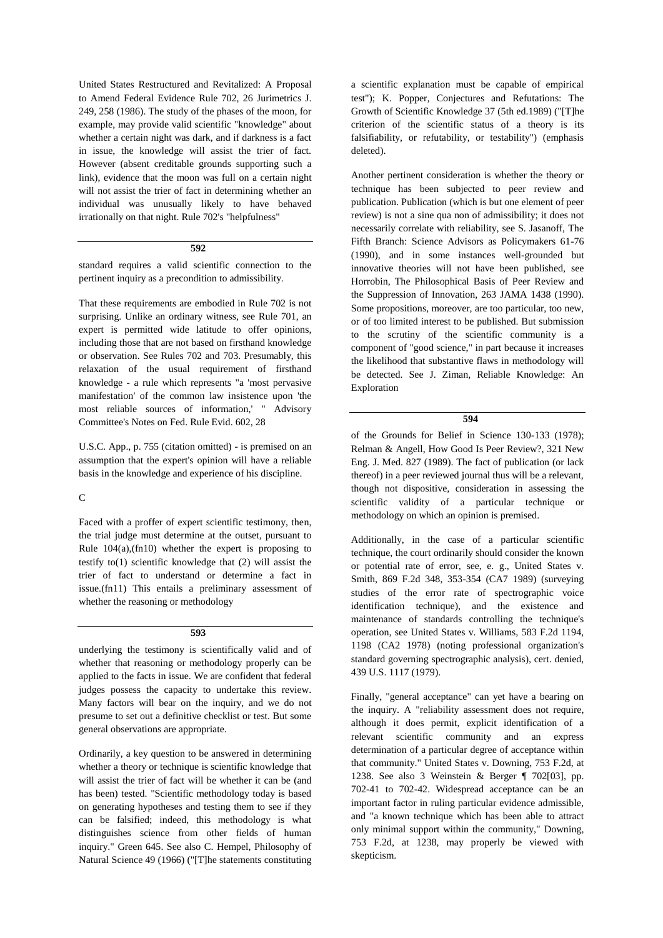United States Restructured and Revitalized: A Proposal to Amend Federal Evidence Rule 702, 26 Jurimetrics J. 249, 258 (1986). The study of the phases of the moon, for example, may provide valid scientific "knowledge" about whether a certain night was dark, and if darkness is a fact in issue, the knowledge will assist the trier of fact. However (absent creditable grounds supporting such a link), evidence that the moon was full on a certain night will not assist the trier of fact in determining whether an individual was unusually likely to have behaved irrationally on that night. Rule 702's "helpfulness"

### **592**

standard requires a valid scientific connection to the pertinent inquiry as a precondition to admissibility.

That these requirements are embodied in Rule 702 is not surprising. Unlike an ordinary witness, see Rule 701, an expert is permitted wide latitude to offer opinions, including those that are not based on firsthand knowledge or observation. See Rules 702 and 703. Presumably, this relaxation of the usual requirement of firsthand knowledge - a rule which represents "a 'most pervasive manifestation' of the common law insistence upon 'the most reliable sources of information,' " Advisory Committee's Notes on Fed. Rule Evid. 602, 28

U.S.C. App., p. 755 (citation omitted) - is premised on an assumption that the expert's opinion will have a reliable basis in the knowledge and experience of his discipline.

## C

Faced with a proffer of expert scientific testimony, then, the trial judge must determine at the outset, pursuant to Rule  $104(a)$ ,  $(\text{fn}10)$  whether the expert is proposing to testify to(1) scientific knowledge that (2) will assist the trier of fact to understand or determine a fact in issue.(fn11) This entails a preliminary assessment of whether the reasoning or methodology

# **593**

underlying the testimony is scientifically valid and of whether that reasoning or methodology properly can be applied to the facts in issue. We are confident that federal judges possess the capacity to undertake this review. Many factors will bear on the inquiry, and we do not presume to set out a definitive checklist or test. But some general observations are appropriate.

Ordinarily, a key question to be answered in determining whether a theory or technique is scientific knowledge that will assist the trier of fact will be whether it can be (and has been) tested. "Scientific methodology today is based on generating hypotheses and testing them to see if they can be falsified; indeed, this methodology is what distinguishes science from other fields of human inquiry." Green 645. See also C. Hempel, Philosophy of Natural Science 49 (1966) ("[T]he statements constituting

a scientific explanation must be capable of empirical test"); K. Popper, Conjectures and Refutations: The Growth of Scientific Knowledge 37 (5th ed.1989) ("[T]he criterion of the scientific status of a theory is its falsifiability, or refutability, or testability") (emphasis deleted).

Another pertinent consideration is whether the theory or technique has been subjected to peer review and publication. Publication (which is but one element of peer review) is not a sine qua non of admissibility; it does not necessarily correlate with reliability, see S. Jasanoff, The Fifth Branch: Science Advisors as Policymakers 61-76 (1990), and in some instances well-grounded but innovative theories will not have been published, see Horrobin, The Philosophical Basis of Peer Review and the Suppression of Innovation, 263 JAMA 1438 (1990). Some propositions, moreover, are too particular, too new, or of too limited interest to be published. But submission to the scrutiny of the scientific community is a component of "good science," in part because it increases the likelihood that substantive flaws in methodology will be detected. See J. Ziman, Reliable Knowledge: An Exploration

**594** 

of the Grounds for Belief in Science 130-133 (1978); Relman & Angell, How Good Is Peer Review?, 321 New Eng. J. Med. 827 (1989). The fact of publication (or lack thereof) in a peer reviewed journal thus will be a relevant, though not dispositive, consideration in assessing the scientific validity of a particular technique or methodology on which an opinion is premised.

Additionally, in the case of a particular scientific technique, the court ordinarily should consider the known or potential rate of error, see, e. g., United States v. Smith, 869 F.2d 348, 353-354 (CA7 1989) (surveying studies of the error rate of spectrographic voice identification technique), and the existence and maintenance of standards controlling the technique's operation, see United States v. Williams, 583 F.2d 1194, 1198 (CA2 1978) (noting professional organization's standard governing spectrographic analysis), cert. denied, 439 U.S. 1117 (1979).

Finally, "general acceptance" can yet have a bearing on the inquiry. A "reliability assessment does not require, although it does permit, explicit identification of a relevant scientific community and an express determination of a particular degree of acceptance within that community." United States v. Downing, 753 F.2d, at 1238. See also 3 Weinstein & Berger ¶ 702[03], pp. 702-41 to 702-42. Widespread acceptance can be an important factor in ruling particular evidence admissible, and "a known technique which has been able to attract only minimal support within the community," Downing, 753 F.2d, at 1238, may properly be viewed with skepticism.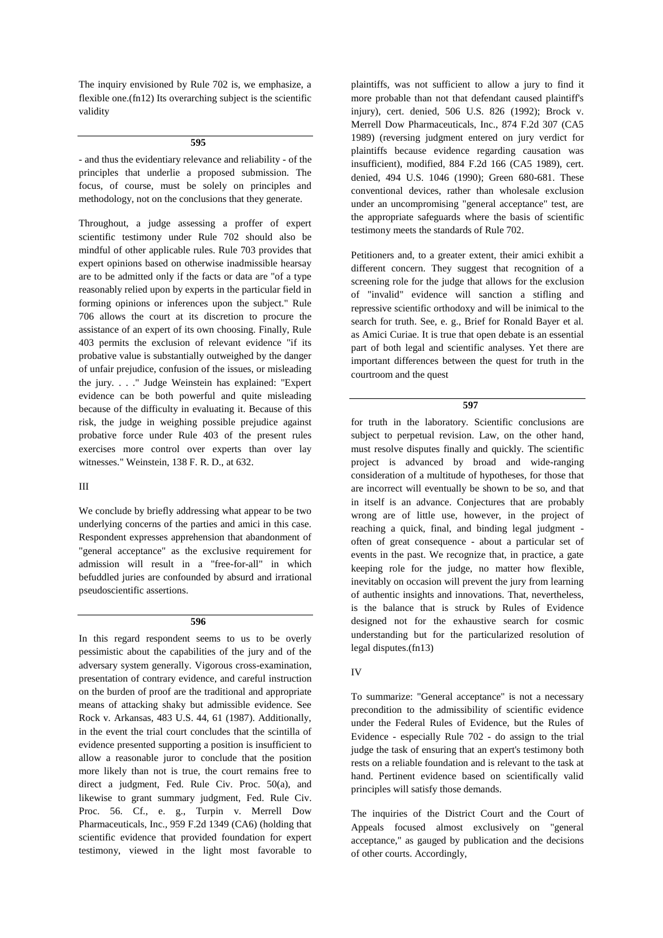The inquiry envisioned by Rule 702 is, we emphasize, a flexible one.(fn12) Its overarching subject is the scientific validity

#### **595**

- and thus the evidentiary relevance and reliability - of the principles that underlie a proposed submission. The focus, of course, must be solely on principles and methodology, not on the conclusions that they generate.

Throughout, a judge assessing a proffer of expert scientific testimony under Rule 702 should also be mindful of other applicable rules. Rule 703 provides that expert opinions based on otherwise inadmissible hearsay are to be admitted only if the facts or data are "of a type reasonably relied upon by experts in the particular field in forming opinions or inferences upon the subject." Rule 706 allows the court at its discretion to procure the assistance of an expert of its own choosing. Finally, Rule 403 permits the exclusion of relevant evidence "if its probative value is substantially outweighed by the danger of unfair prejudice, confusion of the issues, or misleading the jury. . . ." Judge Weinstein has explained: "Expert evidence can be both powerful and quite misleading because of the difficulty in evaluating it. Because of this risk, the judge in weighing possible prejudice against probative force under Rule 403 of the present rules exercises more control over experts than over lay witnesses." Weinstein, 138 F. R. D., at 632.

# III

We conclude by briefly addressing what appear to be two underlying concerns of the parties and amici in this case. Respondent expresses apprehension that abandonment of "general acceptance" as the exclusive requirement for admission will result in a "free-for-all" in which befuddled juries are confounded by absurd and irrational pseudoscientific assertions.

#### **596**

In this regard respondent seems to us to be overly pessimistic about the capabilities of the jury and of the adversary system generally. Vigorous cross-examination, presentation of contrary evidence, and careful instruction on the burden of proof are the traditional and appropriate means of attacking shaky but admissible evidence. See Rock v. Arkansas, 483 U.S. 44, 61 (1987). Additionally, in the event the trial court concludes that the scintilla of evidence presented supporting a position is insufficient to allow a reasonable juror to conclude that the position more likely than not is true, the court remains free to direct a judgment, Fed. Rule Civ. Proc. 50(a), and likewise to grant summary judgment, Fed. Rule Civ. Proc. 56. Cf., e. g., Turpin v. Merrell Dow Pharmaceuticals, Inc., 959 F.2d 1349 (CA6) (holding that scientific evidence that provided foundation for expert testimony, viewed in the light most favorable to

plaintiffs, was not sufficient to allow a jury to find it more probable than not that defendant caused plaintiff's injury), cert. denied, 506 U.S. 826 (1992); Brock v. Merrell Dow Pharmaceuticals, Inc., 874 F.2d 307 (CA5 1989) (reversing judgment entered on jury verdict for plaintiffs because evidence regarding causation was insufficient), modified, 884 F.2d 166 (CA5 1989), cert. denied, 494 U.S. 1046 (1990); Green 680-681. These conventional devices, rather than wholesale exclusion under an uncompromising "general acceptance" test, are the appropriate safeguards where the basis of scientific testimony meets the standards of Rule 702.

Petitioners and, to a greater extent, their amici exhibit a different concern. They suggest that recognition of a screening role for the judge that allows for the exclusion of "invalid" evidence will sanction a stifling and repressive scientific orthodoxy and will be inimical to the search for truth. See, e. g., Brief for Ronald Bayer et al. as Amici Curiae. It is true that open debate is an essential part of both legal and scientific analyses. Yet there are important differences between the quest for truth in the courtroom and the quest

#### **597**

for truth in the laboratory. Scientific conclusions are subject to perpetual revision. Law, on the other hand, must resolve disputes finally and quickly. The scientific project is advanced by broad and wide-ranging consideration of a multitude of hypotheses, for those that are incorrect will eventually be shown to be so, and that in itself is an advance. Conjectures that are probably wrong are of little use, however, in the project of reaching a quick, final, and binding legal judgment often of great consequence - about a particular set of events in the past. We recognize that, in practice, a gate keeping role for the judge, no matter how flexible, inevitably on occasion will prevent the jury from learning of authentic insights and innovations. That, nevertheless, is the balance that is struck by Rules of Evidence designed not for the exhaustive search for cosmic understanding but for the particularized resolution of legal disputes.(fn13)

### IV

To summarize: "General acceptance" is not a necessary precondition to the admissibility of scientific evidence under the Federal Rules of Evidence, but the Rules of Evidence - especially Rule 702 - do assign to the trial judge the task of ensuring that an expert's testimony both rests on a reliable foundation and is relevant to the task at hand. Pertinent evidence based on scientifically valid principles will satisfy those demands.

The inquiries of the District Court and the Court of Appeals focused almost exclusively on "general acceptance," as gauged by publication and the decisions of other courts. Accordingly,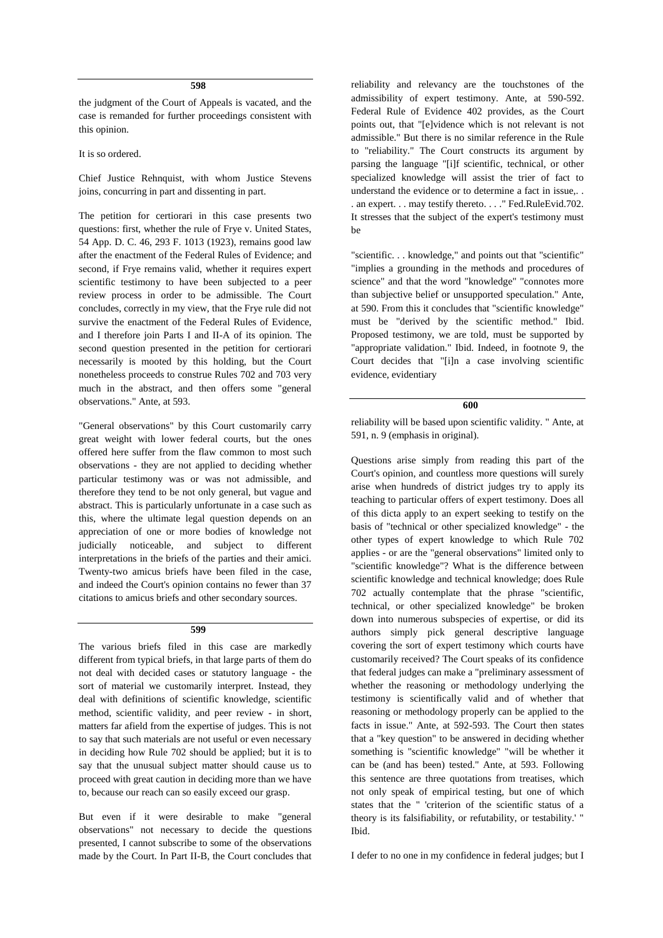# **598**

the judgment of the Court of Appeals is vacated, and the case is remanded for further proceedings consistent with this opinion.

# It is so ordered.

Chief Justice Rehnquist, with whom Justice Stevens joins, concurring in part and dissenting in part.

The petition for certiorari in this case presents two questions: first, whether the rule of Frye v. United States, 54 App. D. C. 46, 293 F. 1013 (1923), remains good law after the enactment of the Federal Rules of Evidence; and second, if Frye remains valid, whether it requires expert scientific testimony to have been subjected to a peer review process in order to be admissible. The Court concludes, correctly in my view, that the Frye rule did not survive the enactment of the Federal Rules of Evidence, and I therefore join Parts I and II-A of its opinion. The second question presented in the petition for certiorari necessarily is mooted by this holding, but the Court nonetheless proceeds to construe Rules 702 and 703 very much in the abstract, and then offers some "general observations." Ante, at 593.

"General observations" by this Court customarily carry great weight with lower federal courts, but the ones offered here suffer from the flaw common to most such observations - they are not applied to deciding whether particular testimony was or was not admissible, and therefore they tend to be not only general, but vague and abstract. This is particularly unfortunate in a case such as this, where the ultimate legal question depends on an appreciation of one or more bodies of knowledge not judicially noticeable, and subject to different interpretations in the briefs of the parties and their amici. Twenty-two amicus briefs have been filed in the case, and indeed the Court's opinion contains no fewer than 37 citations to amicus briefs and other secondary sources.

#### **599**

The various briefs filed in this case are markedly different from typical briefs, in that large parts of them do not deal with decided cases or statutory language - the sort of material we customarily interpret. Instead, they deal with definitions of scientific knowledge, scientific method, scientific validity, and peer review - in short, matters far afield from the expertise of judges. This is not to say that such materials are not useful or even necessary in deciding how Rule 702 should be applied; but it is to say that the unusual subject matter should cause us to proceed with great caution in deciding more than we have to, because our reach can so easily exceed our grasp.

But even if it were desirable to make "general observations" not necessary to decide the questions presented, I cannot subscribe to some of the observations made by the Court. In Part II-B, the Court concludes that

reliability and relevancy are the touchstones of the admissibility of expert testimony. Ante, at 590-592. Federal Rule of Evidence 402 provides, as the Court points out, that "[e]vidence which is not relevant is not admissible." But there is no similar reference in the Rule to "reliability." The Court constructs its argument by parsing the language "[i]f scientific, technical, or other specialized knowledge will assist the trier of fact to understand the evidence or to determine a fact in issue,. . . an expert. . . may testify thereto. . . ." Fed.RuleEvid.702. It stresses that the subject of the expert's testimony must be

"scientific. . . knowledge," and points out that "scientific" "implies a grounding in the methods and procedures of science" and that the word "knowledge" "connotes more than subjective belief or unsupported speculation." Ante, at 590. From this it concludes that "scientific knowledge" must be "derived by the scientific method." Ibid. Proposed testimony, we are told, must be supported by "appropriate validation." Ibid. Indeed, in footnote 9, the Court decides that "[i]n a case involving scientific evidence, evidentiary

#### **600**

reliability will be based upon scientific validity. " Ante, at 591, n. 9 (emphasis in original).

Questions arise simply from reading this part of the Court's opinion, and countless more questions will surely arise when hundreds of district judges try to apply its teaching to particular offers of expert testimony. Does all of this dicta apply to an expert seeking to testify on the basis of "technical or other specialized knowledge" - the other types of expert knowledge to which Rule 702 applies - or are the "general observations" limited only to "scientific knowledge"? What is the difference between scientific knowledge and technical knowledge; does Rule 702 actually contemplate that the phrase "scientific, technical, or other specialized knowledge" be broken down into numerous subspecies of expertise, or did its authors simply pick general descriptive language covering the sort of expert testimony which courts have customarily received? The Court speaks of its confidence that federal judges can make a "preliminary assessment of whether the reasoning or methodology underlying the testimony is scientifically valid and of whether that reasoning or methodology properly can be applied to the facts in issue." Ante, at 592-593. The Court then states that a "key question" to be answered in deciding whether something is "scientific knowledge" "will be whether it can be (and has been) tested." Ante, at 593. Following this sentence are three quotations from treatises, which not only speak of empirical testing, but one of which states that the " 'criterion of the scientific status of a theory is its falsifiability, or refutability, or testability.' " Ibid.

I defer to no one in my confidence in federal judges; but I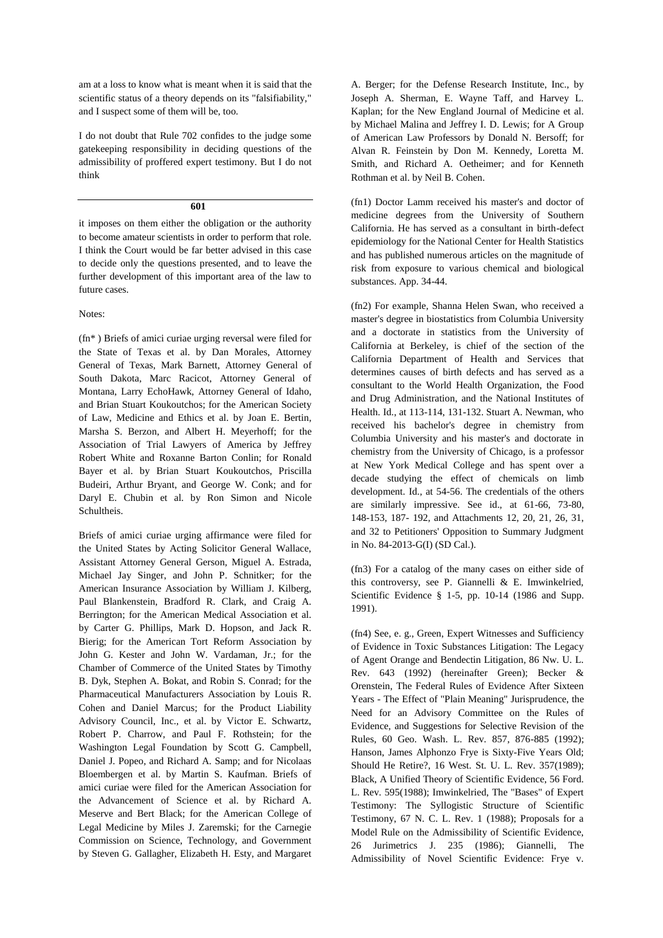am at a loss to know what is meant when it is said that the scientific status of a theory depends on its "falsifiability," and I suspect some of them will be, too.

I do not doubt that Rule 702 confides to the judge some gatekeeping responsibility in deciding questions of the admissibility of proffered expert testimony. But I do not think

### **601**

it imposes on them either the obligation or the authority to become amateur scientists in order to perform that role. I think the Court would be far better advised in this case to decide only the questions presented, and to leave the further development of this important area of the law to future cases.

# Notes:

(fn\* ) Briefs of amici curiae urging reversal were filed for the State of Texas et al. by Dan Morales, Attorney General of Texas, Mark Barnett, Attorney General of South Dakota, Marc Racicot, Attorney General of Montana, Larry EchoHawk, Attorney General of Idaho, and Brian Stuart Koukoutchos; for the American Society of Law, Medicine and Ethics et al. by Joan E. Bertin, Marsha S. Berzon, and Albert H. Meyerhoff; for the Association of Trial Lawyers of America by Jeffrey Robert White and Roxanne Barton Conlin; for Ronald Bayer et al. by Brian Stuart Koukoutchos, Priscilla Budeiri, Arthur Bryant, and George W. Conk; and for Daryl E. Chubin et al. by Ron Simon and Nicole Schultheis.

Briefs of amici curiae urging affirmance were filed for the United States by Acting Solicitor General Wallace, Assistant Attorney General Gerson, Miguel A. Estrada, Michael Jay Singer, and John P. Schnitker; for the American Insurance Association by William J. Kilberg, Paul Blankenstein, Bradford R. Clark, and Craig A. Berrington; for the American Medical Association et al. by Carter G. Phillips, Mark D. Hopson, and Jack R. Bierig; for the American Tort Reform Association by John G. Kester and John W. Vardaman, Jr.; for the Chamber of Commerce of the United States by Timothy B. Dyk, Stephen A. Bokat, and Robin S. Conrad; for the Pharmaceutical Manufacturers Association by Louis R. Cohen and Daniel Marcus; for the Product Liability Advisory Council, Inc., et al. by Victor E. Schwartz, Robert P. Charrow, and Paul F. Rothstein; for the Washington Legal Foundation by Scott G. Campbell, Daniel J. Popeo, and Richard A. Samp; and for Nicolaas Bloembergen et al. by Martin S. Kaufman. Briefs of amici curiae were filed for the American Association for the Advancement of Science et al. by Richard A. Meserve and Bert Black; for the American College of Legal Medicine by Miles J. Zaremski; for the Carnegie Commission on Science, Technology, and Government by Steven G. Gallagher, Elizabeth H. Esty, and Margaret

A. Berger; for the Defense Research Institute, Inc., by Joseph A. Sherman, E. Wayne Taff, and Harvey L. Kaplan; for the New England Journal of Medicine et al. by Michael Malina and Jeffrey I. D. Lewis; for A Group of American Law Professors by Donald N. Bersoff; for Alvan R. Feinstein by Don M. Kennedy, Loretta M. Smith, and Richard A. Oetheimer; and for Kenneth Rothman et al. by Neil B. Cohen.

(fn1) Doctor Lamm received his master's and doctor of medicine degrees from the University of Southern California. He has served as a consultant in birth-defect epidemiology for the National Center for Health Statistics and has published numerous articles on the magnitude of risk from exposure to various chemical and biological substances. App. 34-44.

(fn2) For example, Shanna Helen Swan, who received a master's degree in biostatistics from Columbia University and a doctorate in statistics from the University of California at Berkeley, is chief of the section of the California Department of Health and Services that determines causes of birth defects and has served as a consultant to the World Health Organization, the Food and Drug Administration, and the National Institutes of Health. Id., at 113-114, 131-132. Stuart A. Newman, who received his bachelor's degree in chemistry from Columbia University and his master's and doctorate in chemistry from the University of Chicago, is a professor at New York Medical College and has spent over a decade studying the effect of chemicals on limb development. Id., at 54-56. The credentials of the others are similarly impressive. See id., at 61-66, 73-80, 148-153, 187- 192, and Attachments 12, 20, 21, 26, 31, and 32 to Petitioners' Opposition to Summary Judgment in No. 84-2013-G(I) (SD Cal.).

(fn3) For a catalog of the many cases on either side of this controversy, see P. Giannelli & E. Imwinkelried, Scientific Evidence § 1-5, pp. 10-14 (1986 and Supp. 1991).

(fn4) See, e. g., Green, Expert Witnesses and Sufficiency of Evidence in Toxic Substances Litigation: The Legacy of Agent Orange and Bendectin Litigation, 86 Nw. U. L. Rev. 643 (1992) (hereinafter Green); Becker & Orenstein, The Federal Rules of Evidence After Sixteen Years - The Effect of "Plain Meaning" Jurisprudence, the Need for an Advisory Committee on the Rules of Evidence, and Suggestions for Selective Revision of the Rules, 60 Geo. Wash. L. Rev. 857, 876-885 (1992); Hanson, James Alphonzo Frye is Sixty-Five Years Old; Should He Retire?, 16 West. St. U. L. Rev. 357(1989); Black, A Unified Theory of Scientific Evidence, 56 Ford. L. Rev. 595(1988); Imwinkelried, The "Bases" of Expert Testimony: The Syllogistic Structure of Scientific Testimony, 67 N. C. L. Rev. 1 (1988); Proposals for a Model Rule on the Admissibility of Scientific Evidence, 26 Jurimetrics J. 235 (1986); Giannelli, The Admissibility of Novel Scientific Evidence: Frye v.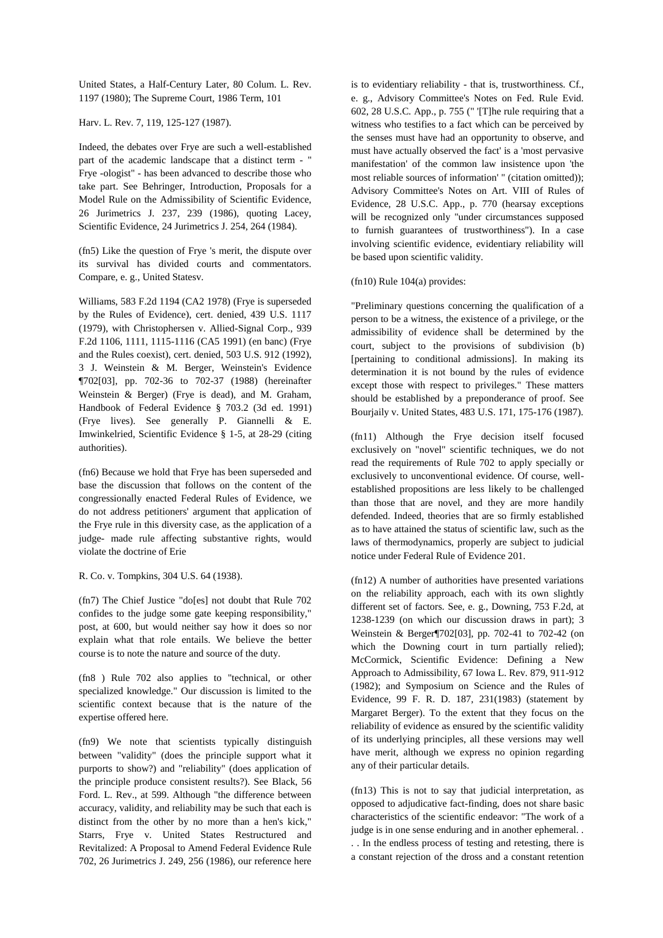United States, a Half-Century Later, 80 Colum. L. Rev. 1197 (1980); The Supreme Court, 1986 Term, 101

Harv. L. Rev. 7, 119, 125-127 (1987).

Indeed, the debates over Frye are such a well-established part of the academic landscape that a distinct term - " Frye -ologist" - has been advanced to describe those who take part. See Behringer, Introduction, Proposals for a Model Rule on the Admissibility of Scientific Evidence, 26 Jurimetrics J. 237, 239 (1986), quoting Lacey, Scientific Evidence, 24 Jurimetrics J. 254, 264 (1984).

(fn5) Like the question of Frye 's merit, the dispute over its survival has divided courts and commentators. Compare, e. g., United Statesv.

Williams, 583 F.2d 1194 (CA2 1978) (Frye is superseded by the Rules of Evidence), cert. denied, 439 U.S. 1117 (1979), with Christophersen v. Allied-Signal Corp., 939 F.2d 1106, 1111, 1115-1116 (CA5 1991) (en banc) (Frye and the Rules coexist), cert. denied, 503 U.S. 912 (1992), 3 J. Weinstein & M. Berger, Weinstein's Evidence ¶702[03], pp. 702-36 to 702-37 (1988) (hereinafter Weinstein & Berger) (Frye is dead), and M. Graham, Handbook of Federal Evidence § 703.2 (3d ed. 1991) (Frye lives). See generally P. Giannelli & E. Imwinkelried, Scientific Evidence § 1-5, at 28-29 (citing authorities).

(fn6) Because we hold that Frye has been superseded and base the discussion that follows on the content of the congressionally enacted Federal Rules of Evidence, we do not address petitioners' argument that application of the Frye rule in this diversity case, as the application of a judge- made rule affecting substantive rights, would violate the doctrine of Erie

# R. Co. v. Tompkins, 304 U.S. 64 (1938).

(fn7) The Chief Justice "do[es] not doubt that Rule 702 confides to the judge some gate keeping responsibility," post, at 600, but would neither say how it does so nor explain what that role entails. We believe the better course is to note the nature and source of the duty.

(fn8 ) Rule 702 also applies to "technical, or other specialized knowledge." Our discussion is limited to the scientific context because that is the nature of the expertise offered here.

(fn9) We note that scientists typically distinguish between "validity" (does the principle support what it purports to show?) and "reliability" (does application of the principle produce consistent results?). See Black, 56 Ford. L. Rev., at 599. Although "the difference between accuracy, validity, and reliability may be such that each is distinct from the other by no more than a hen's kick," Starrs, Frye v. United States Restructured and Revitalized: A Proposal to Amend Federal Evidence Rule 702, 26 Jurimetrics J. 249, 256 (1986), our reference here

is to evidentiary reliability - that is, trustworthiness. Cf., e. g., Advisory Committee's Notes on Fed. Rule Evid. 602, 28 U.S.C. App., p. 755 (" '[T]he rule requiring that a witness who testifies to a fact which can be perceived by the senses must have had an opportunity to observe, and must have actually observed the fact' is a 'most pervasive manifestation' of the common law insistence upon 'the most reliable sources of information' " (citation omitted)); Advisory Committee's Notes on Art. VIII of Rules of Evidence, 28 U.S.C. App., p. 770 (hearsay exceptions will be recognized only "under circumstances supposed to furnish guarantees of trustworthiness"). In a case involving scientific evidence, evidentiary reliability will be based upon scientific validity.

### (fn10) Rule 104(a) provides:

"Preliminary questions concerning the qualification of a person to be a witness, the existence of a privilege, or the admissibility of evidence shall be determined by the court, subject to the provisions of subdivision (b) [pertaining to conditional admissions]. In making its determination it is not bound by the rules of evidence except those with respect to privileges." These matters should be established by a preponderance of proof. See Bourjaily v. United States, 483 U.S. 171, 175-176 (1987).

(fn11) Although the Frye decision itself focused exclusively on "novel" scientific techniques, we do not read the requirements of Rule 702 to apply specially or exclusively to unconventional evidence. Of course, wellestablished propositions are less likely to be challenged than those that are novel, and they are more handily defended. Indeed, theories that are so firmly established as to have attained the status of scientific law, such as the laws of thermodynamics, properly are subject to judicial notice under Federal Rule of Evidence 201.

(fn12) A number of authorities have presented variations on the reliability approach, each with its own slightly different set of factors. See, e. g., Downing, 753 F.2d, at 1238-1239 (on which our discussion draws in part); 3 Weinstein & Berger¶702[03], pp. 702-41 to 702-42 (on which the Downing court in turn partially relied); McCormick, Scientific Evidence: Defining a New Approach to Admissibility, 67 Iowa L. Rev. 879, 911-912 (1982); and Symposium on Science and the Rules of Evidence, 99 F. R. D. 187, 231(1983) (statement by Margaret Berger). To the extent that they focus on the reliability of evidence as ensured by the scientific validity of its underlying principles, all these versions may well have merit, although we express no opinion regarding any of their particular details.

(fn13) This is not to say that judicial interpretation, as opposed to adjudicative fact-finding, does not share basic characteristics of the scientific endeavor: "The work of a judge is in one sense enduring and in another ephemeral. . . . In the endless process of testing and retesting, there is a constant rejection of the dross and a constant retention